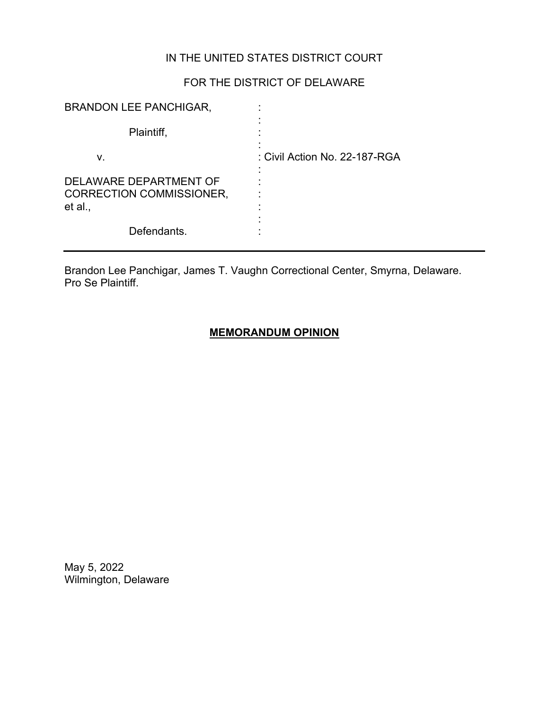## IN THE UNITED STATES DISTRICT COURT

# FOR THE DISTRICT OF DELAWARE

| <b>BRANDON LEE PANCHIGAR,</b>                                        |                               |
|----------------------------------------------------------------------|-------------------------------|
| Plaintiff,                                                           |                               |
| V.                                                                   | : Civil Action No. 22-187-RGA |
| DELAWARE DEPARTMENT OF<br><b>CORRECTION COMMISSIONER,</b><br>et al., |                               |
| Defendants.                                                          |                               |

Brandon Lee Panchigar, James T. Vaughn Correctional Center, Smyrna, Delaware. Pro Se Plaintiff.

## **MEMORANDUM OPINION**

May 5, 2022 Wilmington, Delaware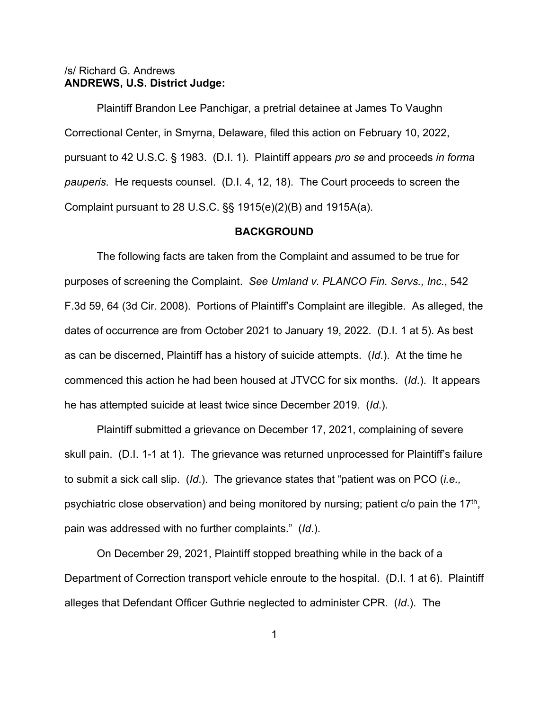### /s/ Richard G. Andrews **ANDREWS, U.S. District Judge:**

Plaintiff Brandon Lee Panchigar, a pretrial detainee at James To Vaughn Correctional Center, in Smyrna, Delaware, filed this action on February 10, 2022, pursuant to 42 U.S.C. § 1983. (D.I. 1). Plaintiff appears *pro se* and proceeds *in forma pauperis*. He requests counsel. (D.I. 4, 12, 18). The Court proceeds to screen the Complaint pursuant to 28 U.S.C. §§ 1915(e)(2)(B) and 1915A(a).

#### **BACKGROUND**

The following facts are taken from the Complaint and assumed to be true for purposes of screening the Complaint. *See Umland v. PLANCO Fin. Servs., Inc.*, 542 F.3d 59, 64 (3d Cir. 2008). Portions of Plaintiff's Complaint are illegible. As alleged, the dates of occurrence are from October 2021 to January 19, 2022. (D.I. 1 at 5). As best as can be discerned, Plaintiff has a history of suicide attempts. (*Id*.). At the time he commenced this action he had been housed at JTVCC for six months. (*Id*.). It appears he has attempted suicide at least twice since December 2019. (*Id*.).

Plaintiff submitted a grievance on December 17, 2021, complaining of severe skull pain. (D.I. 1-1 at 1). The grievance was returned unprocessed for Plaintiff's failure to submit a sick call slip. (*Id*.). The grievance states that "patient was on PCO (*i.e.,* psychiatric close observation) and being monitored by nursing; patient  $c/\sigma$  pain the 17<sup>th</sup>, pain was addressed with no further complaints." (*Id*.).

On December 29, 2021, Plaintiff stopped breathing while in the back of a Department of Correction transport vehicle enroute to the hospital. (D.I. 1 at 6). Plaintiff alleges that Defendant Officer Guthrie neglected to administer CPR. (*Id*.). The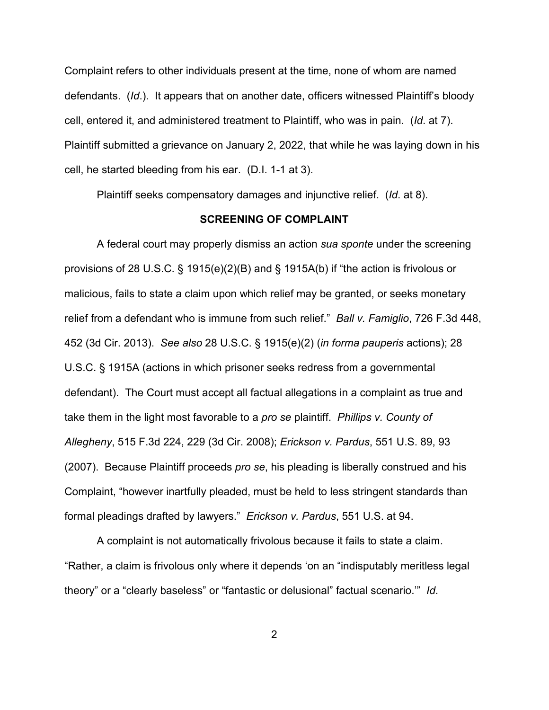Complaint refers to other individuals present at the time, none of whom are named defendants. (*Id*.). It appears that on another date, officers witnessed Plaintiff's bloody cell, entered it, and administered treatment to Plaintiff, who was in pain. (*Id*. at 7). Plaintiff submitted a grievance on January 2, 2022, that while he was laying down in his cell, he started bleeding from his ear. (D.I. 1-1 at 3).

Plaintiff seeks compensatory damages and injunctive relief. (*Id*. at 8).

#### **SCREENING OF COMPLAINT**

A federal court may properly dismiss an action *sua sponte* under the screening provisions of 28 U.S.C. § 1915(e)(2)(B) and § 1915A(b) if "the action is frivolous or malicious, fails to state a claim upon which relief may be granted, or seeks monetary relief from a defendant who is immune from such relief." *Ball v. Famiglio*, 726 F.3d 448, 452 (3d Cir. 2013). *See also* 28 U.S.C. § 1915(e)(2) (*in forma pauperis* actions); 28 U.S.C. § 1915A (actions in which prisoner seeks redress from a governmental defendant). The Court must accept all factual allegations in a complaint as true and take them in the light most favorable to a *pro se* plaintiff. *Phillips v. County of Allegheny*, 515 F.3d 224, 229 (3d Cir. 2008); *Erickson v. Pardus*, 551 U.S. 89, 93 (2007). Because Plaintiff proceeds *pro se*, his pleading is liberally construed and his Complaint, "however inartfully pleaded, must be held to less stringent standards than formal pleadings drafted by lawyers." *Erickson v. Pardus*, 551 U.S. at 94.

A complaint is not automatically frivolous because it fails to state a claim. "Rather, a claim is frivolous only where it depends 'on an "indisputably meritless legal theory" or a "clearly baseless" or "fantastic or delusional" factual scenario.'" *Id*.

2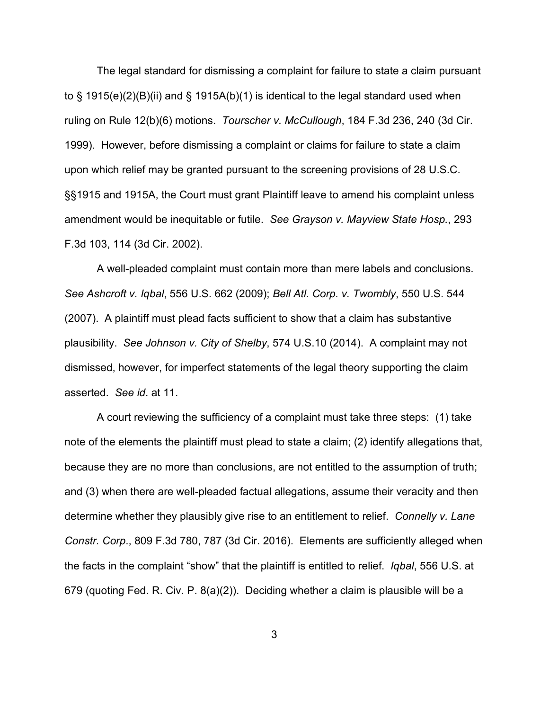The legal standard for dismissing a complaint for failure to state a claim pursuant to § 1915(e)(2)(B)(ii) and § 1915A(b)(1) is identical to the legal standard used when ruling on Rule 12(b)(6) motions. *Tourscher v. McCullough*, 184 F.3d 236, 240 (3d Cir. 1999). However, before dismissing a complaint or claims for failure to state a claim upon which relief may be granted pursuant to the screening provisions of 28 U.S.C. §§1915 and 1915A, the Court must grant Plaintiff leave to amend his complaint unless amendment would be inequitable or futile. *See Grayson v. Mayview State Hosp.*, 293 F.3d 103, 114 (3d Cir. 2002).

A well-pleaded complaint must contain more than mere labels and conclusions. *See Ashcroft v. Iqbal*, 556 U.S. 662 (2009); *Bell Atl. Corp. v. Twombly*, 550 U.S. 544 (2007). A plaintiff must plead facts sufficient to show that a claim has substantive plausibility. *See Johnson v. City of Shelby*, 574 U.S.10 (2014). A complaint may not dismissed, however, for imperfect statements of the legal theory supporting the claim asserted. *See id*. at 11.

A court reviewing the sufficiency of a complaint must take three steps: (1) take note of the elements the plaintiff must plead to state a claim; (2) identify allegations that, because they are no more than conclusions, are not entitled to the assumption of truth; and (3) when there are well-pleaded factual allegations, assume their veracity and then determine whether they plausibly give rise to an entitlement to relief. *Connelly v. Lane Constr. Corp*., 809 F.3d 780, 787 (3d Cir. 2016). Elements are sufficiently alleged when the facts in the complaint "show" that the plaintiff is entitled to relief. *Iqbal*, 556 U.S. at 679 (quoting Fed. R. Civ. P. 8(a)(2)). Deciding whether a claim is plausible will be a

3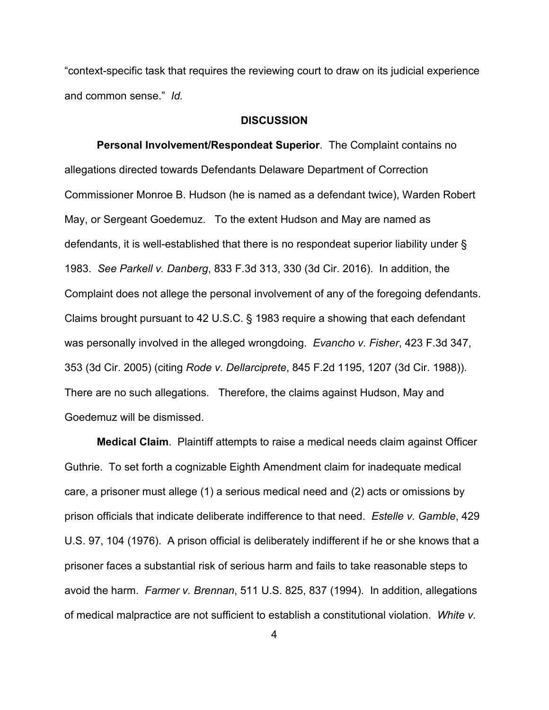"context-specific task that requires the reviewing court to draw on its judicial experience and common sense." *Id.*

#### **DISCUSSION**

**Personal Involvement/Respondeat Superior**. The Complaint contains no allegations directed towards Defendants Delaware Department of Correction Commissioner Monroe B. Hudson (he is named as a defendant twice), Warden Robert May, or Sergeant Goedemuz. To the extent Hudson and May are named as defendants, it is well-established that there is no respondeat superior liability under § 1983. *See Parkell v. Danberg*, 833 F.3d 313, 330 (3d Cir. 2016). In addition, the Complaint does not allege the personal involvement of any of the foregoing defendants. Claims brought pursuant to 42 U.S.C. § 1983 require a showing that each defendant was personally involved in the alleged wrongdoing. *Evancho v. Fisher*, 423 F.3d 347, 353 (3d Cir. 2005) (citing *Rode v. Dellarciprete*, 845 F.2d 1195, 1207 (3d Cir. 1988)). There are no such allegations. Therefore, the claims against Hudson, May and Goedemuz will be dismissed.

**Medical Claim**. Plaintiff attempts to raise a medical needs claim against Officer Guthrie. To set forth a cognizable Eighth Amendment claim for inadequate medical care, a prisoner must allege (1) a serious medical need and (2) acts or omissions by prison officials that indicate deliberate indifference to that need. *Estelle v. Gamble*, 429 U.S. 97, 104 (1976). A prison official is deliberately indifferent if he or she knows that a prisoner faces a substantial risk of serious harm and fails to take reasonable steps to avoid the harm. *Farmer v. Brennan*, 511 U.S. 825, 837 (1994). In addition, allegations of medical malpractice are not sufficient to establish a constitutional violation. *White v.*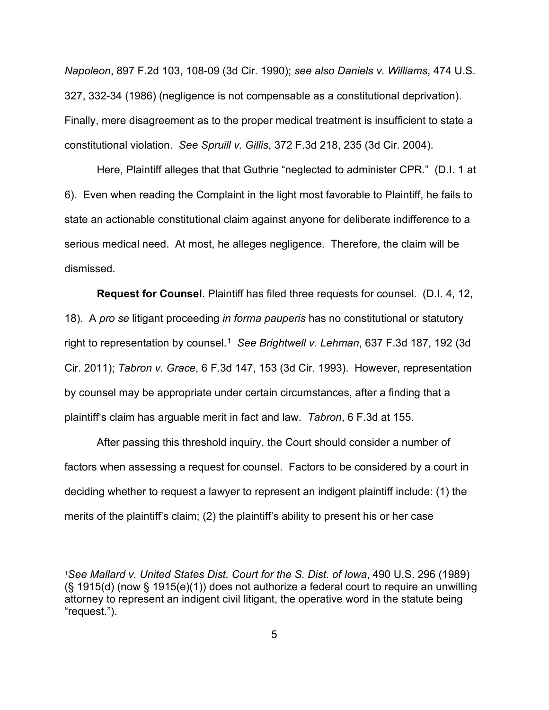*Napoleon*, 897 F.2d 103, 108-09 (3d Cir. 1990); *see also Daniels v. Williams*, 474 U.S. 327, 332-34 (1986) (negligence is not compensable as a constitutional deprivation). Finally, mere disagreement as to the proper medical treatment is insufficient to state a constitutional violation. *See Spruill v. Gillis*, 372 F.3d 218, 235 (3d Cir. 2004).

Here, Plaintiff alleges that that Guthrie "neglected to administer CPR." (D.I. 1 at 6). Even when reading the Complaint in the light most favorable to Plaintiff, he fails to state an actionable constitutional claim against anyone for deliberate indifference to a serious medical need. At most, he alleges negligence. Therefore, the claim will be dismissed.

**Request for Counsel**. Plaintiff has filed three requests for counsel. (D.I. 4, 12, 18). A *pro se* litigant proceeding *in forma pauperis* has no constitutional or statutory right to representation by counsel.<sup>1</sup> See Brightwell v. Lehman, 637 F.3d 187, 192 (3d Cir. 2011); *Tabron v. Grace*, 6 F.3d 147, 153 (3d Cir. 1993). However, representation by counsel may be appropriate under certain circumstances, after a finding that a plaintiff's claim has arguable merit in fact and law. *Tabron*, 6 F.3d at 155.

After passing this threshold inquiry, the Court should consider a number of factors when assessing a request for counsel. Factors to be considered by a court in deciding whether to request a lawyer to represent an indigent plaintiff include: (1) the merits of the plaintiff's claim; (2) the plaintiff's ability to present his or her case

<span id="page-5-0"></span><sup>1</sup>*See Mallard v. United States Dist. Court for the S. Dist. of Iowa*, 490 U.S. 296 (1989) (§ 1915(d) (now § 1915(e)(1)) does not authorize a federal court to require an unwilling attorney to represent an indigent civil litigant, the operative word in the statute being "request.").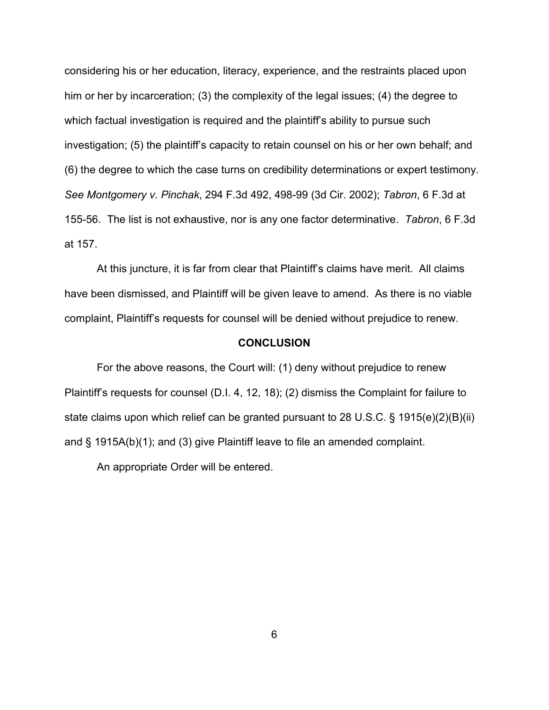considering his or her education, literacy, experience, and the restraints placed upon him or her by incarceration; (3) the complexity of the legal issues; (4) the degree to which factual investigation is required and the plaintiff's ability to pursue such investigation; (5) the plaintiff's capacity to retain counsel on his or her own behalf; and (6) the degree to which the case turns on credibility determinations or expert testimony. *See Montgomery v. Pinchak*, 294 F.3d 492, 498-99 (3d Cir. 2002); *Tabron*, 6 F.3d at 155-56. The list is not exhaustive, nor is any one factor determinative. *Tabron*, 6 F.3d at 157.

At this juncture, it is far from clear that Plaintiff's claims have merit. All claims have been dismissed, and Plaintiff will be given leave to amend. As there is no viable complaint, Plaintiff's requests for counsel will be denied without prejudice to renew.

#### **CONCLUSION**

For the above reasons, the Court will: (1) deny without prejudice to renew Plaintiff's requests for counsel (D.I. 4, 12, 18); (2) dismiss the Complaint for failure to state claims upon which relief can be granted pursuant to 28 U.S.C. § 1915(e)(2)(B)(ii) and § 1915A(b)(1); and (3) give Plaintiff leave to file an amended complaint.

An appropriate Order will be entered.

6